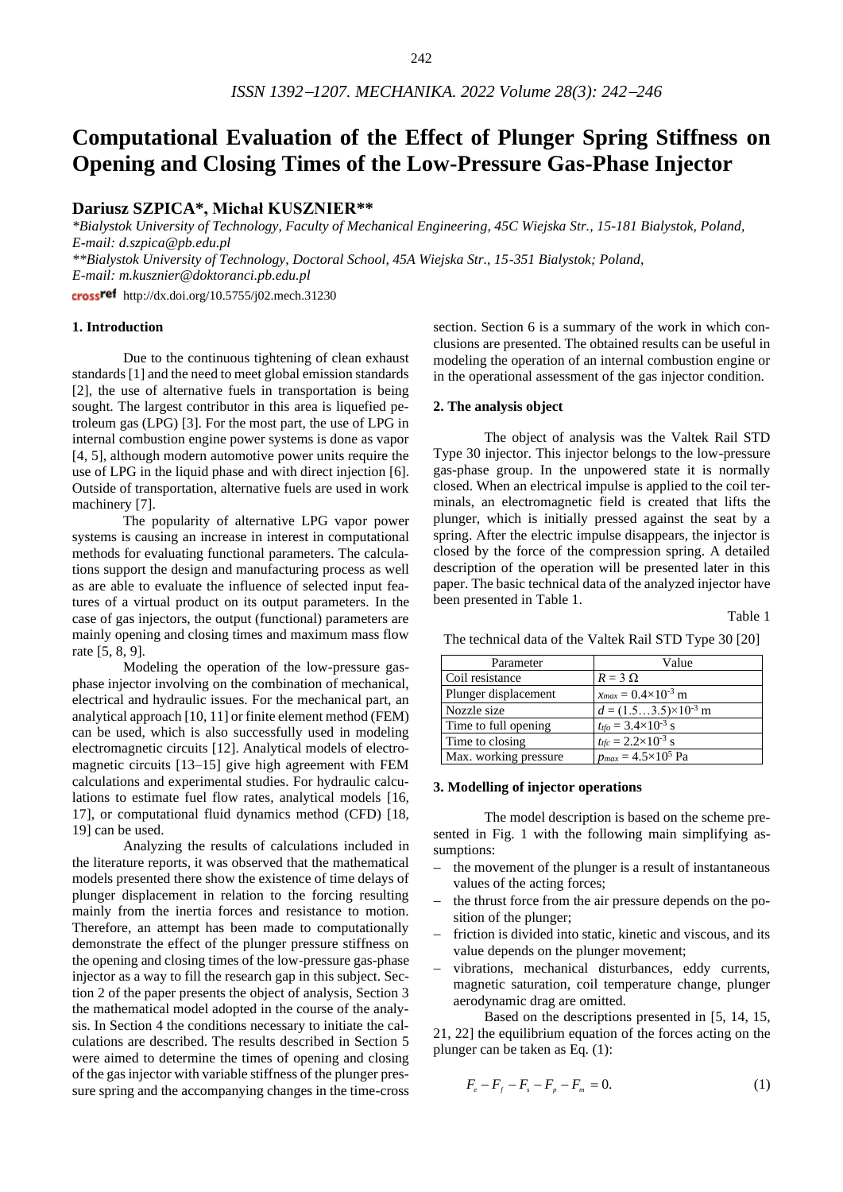# **Computational Evaluation of the Effect of Plunger Spring Stiffness on Opening and Closing Times of the Low-Pressure Gas-Phase Injector**

# **Dariusz SZPICA\*, Michał KUSZNIER\*\***

*\*Bialystok University of Technology, Faculty of Mechanical Engineering, 45C Wiejska Str., 15-181 Bialystok, Poland, E-mail: d.szpica@pb.edu.pl*

*\*\*Bialystok University of Technology, Doctoral School, 45A Wiejska Str., 15-351 Bialystok; Poland, E-mail: [m.kusznier@doktoranci.pb.edu.pl](mailto:m.kusznier@doktoranci.pb.edu.pl)*

cross<sup>ref</sup> http://dx.doi.org/10.5755/j02.mech.31230

### **1. Introduction**

Due to the continuous tightening of clean exhaust standards [1] and the need to meet global emission standards [2], the use of alternative fuels in transportation is being sought. The largest contributor in this area is liquefied petroleum gas (LPG) [3]. For the most part, the use of LPG in internal combustion engine power systems is done as vapor [4, 5], although modern automotive power units require the use of LPG in the liquid phase and with direct injection [6]. Outside of transportation, alternative fuels are used in work machinery [7].

The popularity of alternative LPG vapor power systems is causing an increase in interest in computational methods for evaluating functional parameters. The calculations support the design and manufacturing process as well as are able to evaluate the influence of selected input features of a virtual product on its output parameters. In the case of gas injectors, the output (functional) parameters are mainly opening and closing times and maximum mass flow rate [5, 8, 9].

Modeling the operation of the low-pressure gasphase injector involving on the combination of mechanical, electrical and hydraulic issues. For the mechanical part, an analytical approach [10, 11] or finite element method (FEM) can be used, which is also successfully used in modeling electromagnetic circuits [12]. Analytical models of electromagnetic circuits [13–15] give high agreement with FEM calculations and experimental studies. For hydraulic calculations to estimate fuel flow rates, analytical models [16, 17], or computational fluid dynamics method (CFD) [18, 19] can be used.

Analyzing the results of calculations included in the literature reports, it was observed that the mathematical models presented there show the existence of time delays of plunger displacement in relation to the forcing resulting mainly from the inertia forces and resistance to motion. Therefore, an attempt has been made to computationally demonstrate the effect of the plunger pressure stiffness on the opening and closing times of the low-pressure gas-phase injector as a way to fill the research gap in this subject. Section 2 of the paper presents the object of analysis, Section 3 the mathematical model adopted in the course of the analysis. In Section 4 the conditions necessary to initiate the calculations are described. The results described in Section 5 were aimed to determine the times of opening and closing of the gas injector with variable stiffness of the plunger pressure spring and the accompanying changes in the time-cross

section. Section 6 is a summary of the work in which conclusions are presented. The obtained results can be useful in modeling the operation of an internal combustion engine or in the operational assessment of the gas injector condition.

## **2. The analysis object**

The object of analysis was the Valtek Rail STD Type 30 injector. This injector belongs to the low-pressure gas-phase group. In the unpowered state it is normally closed. When an electrical impulse is applied to the coil terminals, an electromagnetic field is created that lifts the plunger, which is initially pressed against the seat by a spring. After the electric impulse disappears, the injector is closed by the force of the compression spring. A detailed description of the operation will be presented later in this paper. The basic technical data of the analyzed injector have been presented in Table 1.

|--|--|

| Parameter             | Value                                           |
|-----------------------|-------------------------------------------------|
| Coil resistance       | $R = 3 \Omega$                                  |
| Plunger displacement  | $x_{max} = 0.4 \times 10^{-3}$ m                |
| Nozzle size           | $d = (1.53.5) \times 10^{-3}$ m                 |
| Time to full opening  | $t_{tfo} = 3.4 \times 10^{-3}$ s                |
| Time to closing       | $t_{\text{tfc}} = 2.2 \times 10^{-3} \text{ s}$ |
| Max. working pressure | $p_{max} = 4.5 \times 10^5$ Pa                  |

The technical data of the Valtek Rail STD Type 30 [20]

#### **3. Modelling of injector operations**

The model description is based on the scheme presented in Fig. 1 with the following main simplifying assumptions:

- the movement of the plunger is a result of instantaneous values of the acting forces;
- − the thrust force from the air pressure depends on the position of the plunger;
- friction is divided into static, kinetic and viscous, and its value depends on the plunger movement;
- vibrations, mechanical disturbances, eddy currents, magnetic saturation, coil temperature change, plunger aerodynamic drag are omitted.

Based on the descriptions presented in [5, 14, 15, 21, 22] the equilibrium equation of the forces acting on the plunger can be taken as Eq. (1):

$$
F_e - F_f - F_s - F_p - F_m = 0.
$$
 (1)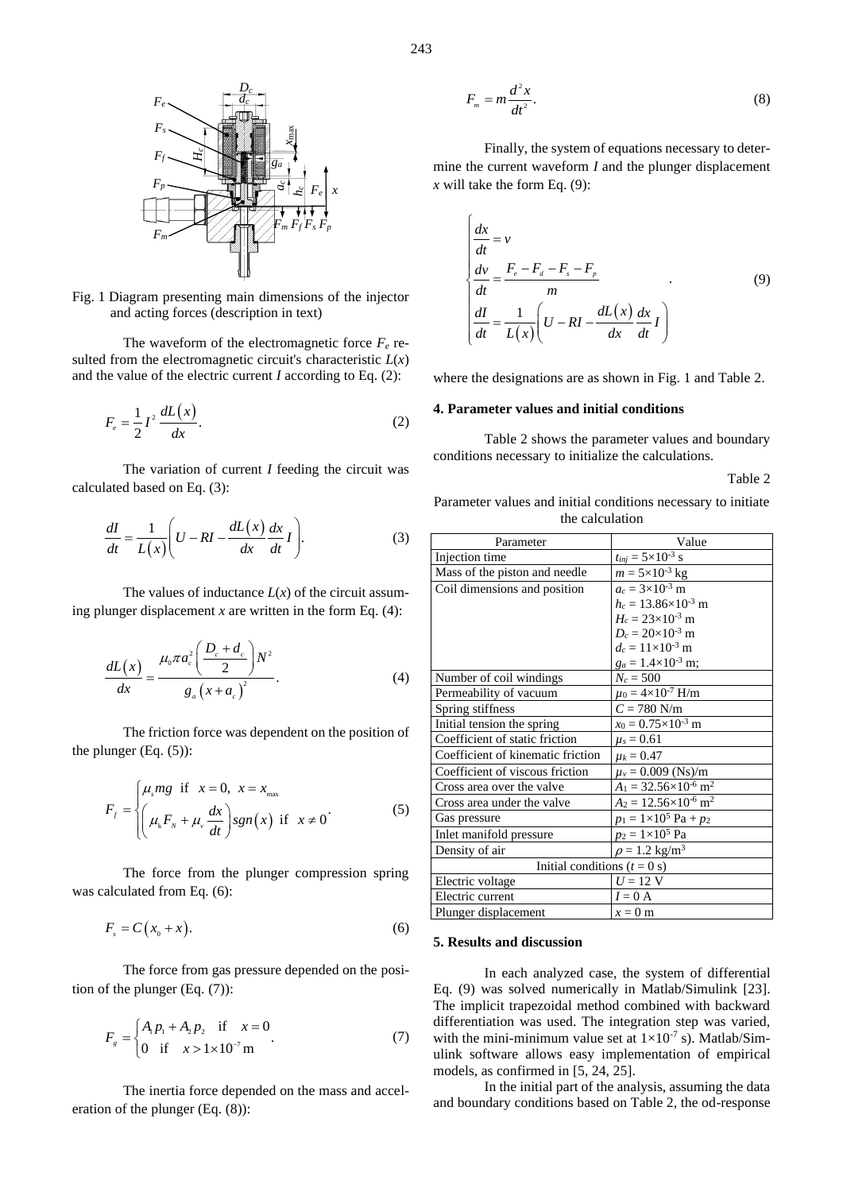

Fig. 1 Diagram presenting main dimensions of the injector and acting forces (description in text)

The waveform of the electromagnetic force  $F_e$  resulted from the electromagnetic circuit's characteristic  $L(x)$ and the value of the electric current *I* according to Eq. (2):

$$
F_e = \frac{1}{2}I^2 \frac{dL(x)}{dx}.
$$
 (2)

The variation of current *I* feeding the circuit was calculated based on Eq. (3):

$$
\frac{dI}{dt} = \frac{1}{L(x)} \left( U - RI - \frac{dL(x)}{dx} \frac{dx}{dt} I \right).
$$
 (3)

The values of inductance  $L(x)$  of the circuit assuming plunger displacement  $x$  are written in the form Eq.  $(4)$ :

$$
\frac{dL(x)}{dx} = \frac{\mu_0 \pi a_c^2 \left(\frac{D_c + d_c}{2}\right) N^2}{g_a \left(x + a_c\right)^2}.
$$
\n(4)

The friction force was dependent on the position of the plunger (Eq. (5)):

$$
F_{f} = \begin{cases} \mu_{s}mg & \text{if } x = 0, \ x = x_{\text{max}} \\ \left(\mu_{k}F_{N} + \mu_{v}\frac{dx}{dt}\right)sgn(x) & \text{if } x \neq 0 \end{cases}
$$
(5)

The force from the plunger compression spring was calculated from Eq. (6):

$$
F_s = C(x_0 + x). \tag{6}
$$

The force from gas pressure depended on the position of the plunger (Eq. (7)):

$$
F_s = \begin{cases} A_1 p_1 + A_2 p_2 & \text{if } x = 0\\ 0 & \text{if } x > 1 \times 10^{-7} \text{m} \end{cases}
$$
 (7)

The inertia force depended on the mass and acceleration of the plunger (Eq. (8)):

$$
F_m = m \frac{d^2 x}{dt^2}.
$$
\n(8)

$$
\begin{cases}\n\frac{dx}{dt} = v \\
\frac{dv}{dt} = \frac{F_e - F_d - F_s - F_p}{m} \\
\frac{dI}{dt} = \frac{1}{L(x)} \left( U - RI - \frac{dL(x)}{dx} \frac{dx}{dt} I \right)\n\end{cases}
$$
\n(9)

## **4. Parameter values and initial conditions**

## Table 2

Parameter values and initial conditions necessary to initiate the calculation

|                                                                                                                                                                                         | $F_m = m \frac{d^2 x}{dt^2}.$                                                                                                                                                                                                                                 | (8)                                                                                                                                                          |  |  |
|-----------------------------------------------------------------------------------------------------------------------------------------------------------------------------------------|---------------------------------------------------------------------------------------------------------------------------------------------------------------------------------------------------------------------------------------------------------------|--------------------------------------------------------------------------------------------------------------------------------------------------------------|--|--|
|                                                                                                                                                                                         | mine the current waveform $I$ and the plunger displacement<br>x will take the form Eq. $(9)$ :                                                                                                                                                                | Finally, the system of equations necessary to deter-                                                                                                         |  |  |
| $F_m F_f F_s F_p$<br>ain dimensions of the injector<br>ription in text)<br>e electromagnetic force $F_e$ re-<br>tic circuit's characteristic $L(x)$<br>urrent $I$ according to Eq. (2): | $\frac{dx}{dt} = v$<br>$\begin{cases}\n\frac{dv}{dt} = \frac{F_e - F_a - F_s - F_p}{m} \\ \frac{dI}{dt} = \frac{1}{L(x)} \left( U - RI - \frac{dL(x)}{dx} \frac{dx}{dt} I \right)\n\end{cases}$<br>where the designations are as shown in Fig. 1 and Table 2. | (9)                                                                                                                                                          |  |  |
|                                                                                                                                                                                         | 4. Parameter values and initial conditions                                                                                                                                                                                                                    |                                                                                                                                                              |  |  |
| (2)<br>rent $I$ feeding the circuit was                                                                                                                                                 | conditions necessary to initialize the calculations.<br>Parameter values and initial conditions necessary to initiate<br>the calculation                                                                                                                      | Table 2 shows the parameter values and boundary<br>Table 2                                                                                                   |  |  |
| $\frac{L(x)}{dx} \frac{dx}{dt} I$ .<br>(3)                                                                                                                                              | Parameter                                                                                                                                                                                                                                                     | Value                                                                                                                                                        |  |  |
|                                                                                                                                                                                         | Injection time                                                                                                                                                                                                                                                | $t_{inj} = 5 \times 10^{-3}$ s                                                                                                                               |  |  |
|                                                                                                                                                                                         | Mass of the piston and needle<br>Coil dimensions and position                                                                                                                                                                                                 | $m = 5 \times 10^{-3}$ kg<br>$a_c = 3 \times 10^{-3}$ m                                                                                                      |  |  |
| ance $L(x)$ of the circuit assum-<br>e written in the form Eq. $(4)$ :<br>$\frac{c}{\sqrt{2}}$ $N^2$ .                                                                                  |                                                                                                                                                                                                                                                               | $h_c = 13.86 \times 10^{-3}$ m<br>$H_c = 23 \times 10^{-3}$ m<br>$D_c = 20 \times 10^{-3}$ m<br>$d_c = 11 \times 10^{-3}$ m<br>$g_a = 1.4 \times 10^{-3}$ m; |  |  |
| (4)                                                                                                                                                                                     | Number of coil windings                                                                                                                                                                                                                                       | $N_c = 500$                                                                                                                                                  |  |  |
|                                                                                                                                                                                         | Permeability of vacuum                                                                                                                                                                                                                                        | $\mu_0 = 4 \times 10^{-7}$ H/m                                                                                                                               |  |  |
|                                                                                                                                                                                         | Spring stiffness                                                                                                                                                                                                                                              | $C = 780$ N/m                                                                                                                                                |  |  |
| as dependent on the position of                                                                                                                                                         | Initial tension the spring                                                                                                                                                                                                                                    | $x_0 = 0.75 \times 10^{-3}$ m                                                                                                                                |  |  |
|                                                                                                                                                                                         | Coefficient of static friction                                                                                                                                                                                                                                | $\mu_s = 0.61$                                                                                                                                               |  |  |
|                                                                                                                                                                                         | Coefficient of kinematic friction                                                                                                                                                                                                                             | $\mu_k = 0.47$                                                                                                                                               |  |  |
|                                                                                                                                                                                         | Coefficient of viscous friction                                                                                                                                                                                                                               | $\mu_v = 0.009$ (Ns)/m                                                                                                                                       |  |  |
| $x = x_{\text{max}}$                                                                                                                                                                    | Cross area over the valve                                                                                                                                                                                                                                     | $A_1 = 32.56 \times 10^{-6}$ m <sup>2</sup>                                                                                                                  |  |  |
| (5)                                                                                                                                                                                     | Cross area under the valve                                                                                                                                                                                                                                    | $A_2 = 12.56 \times 10^{-6}$ m <sup>2</sup>                                                                                                                  |  |  |
| $gn(x)$ if $x \neq 0$                                                                                                                                                                   | Gas pressure                                                                                                                                                                                                                                                  | $p_1 = 1 \times 10^5$ Pa + $p_2$                                                                                                                             |  |  |
|                                                                                                                                                                                         | Inlet manifold pressure                                                                                                                                                                                                                                       | $p_2 = 1 \times 10^5$ Pa                                                                                                                                     |  |  |
|                                                                                                                                                                                         | Density of air                                                                                                                                                                                                                                                | $\rho = 1.2 \text{ kg/m}^3$                                                                                                                                  |  |  |
| plunger compression spring                                                                                                                                                              | Initial conditions $(t = 0$ s)<br>Electric voltage                                                                                                                                                                                                            | $U = 12$ V                                                                                                                                                   |  |  |
|                                                                                                                                                                                         | Electric current                                                                                                                                                                                                                                              | $I = 0$ A                                                                                                                                                    |  |  |
|                                                                                                                                                                                         | Plunger displacement                                                                                                                                                                                                                                          | $x = 0$ m                                                                                                                                                    |  |  |
| (6)                                                                                                                                                                                     | 5. Results and discussion                                                                                                                                                                                                                                     |                                                                                                                                                              |  |  |
| pressure depended on the posi-                                                                                                                                                          | Eq. (9) was solved numerically in Matlab/Simulink [23].<br>The implicit trapezoidal method combined with backward<br>differentiation was used. The integration step was varied,                                                                               | In each analyzed case, the system of differential                                                                                                            |  |  |
| $x=0$<br>(7)                                                                                                                                                                            |                                                                                                                                                                                                                                                               |                                                                                                                                                              |  |  |
| m                                                                                                                                                                                       | with the mini-minimum value set at $1 \times 10^{-7}$ s). Matlab/Sim-<br>ulink software allows easy implementation of empirical<br>models, as confirmed in $[5, 24, 25]$ .                                                                                    |                                                                                                                                                              |  |  |
| bended on the mass and accel-                                                                                                                                                           | and boundary conditions based on Table 2, the od-response                                                                                                                                                                                                     | In the initial part of the analysis, assuming the data                                                                                                       |  |  |
| ١١٠                                                                                                                                                                                     |                                                                                                                                                                                                                                                               |                                                                                                                                                              |  |  |

## **5. Results and discussion**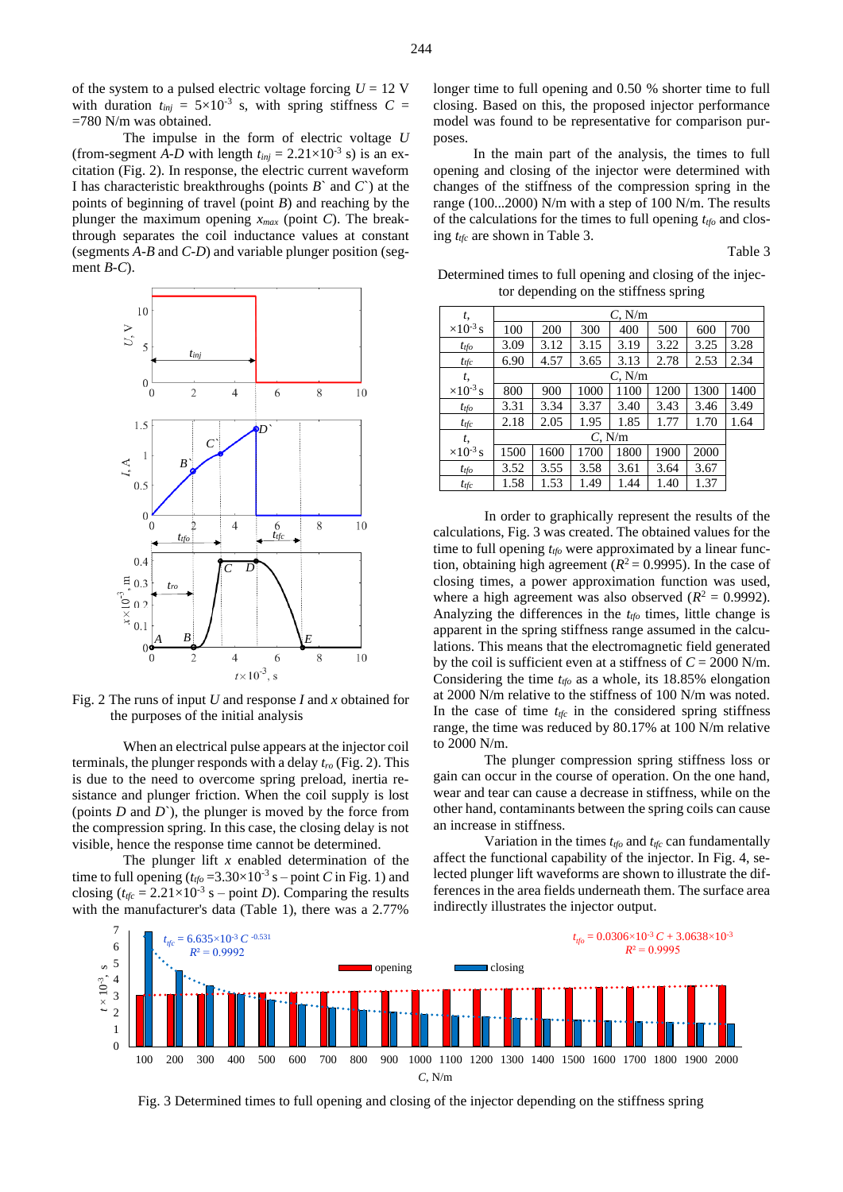of the system to a pulsed electric voltage forcing  $U = 12$  V with duration  $t_{inj} = 5 \times 10^{-3}$  s, with spring stiffness  $C =$ =780 N/m was obtained.

The impulse in the form of electric voltage *U* (from-segment *A-D* with length  $t_{inj} = 2.21 \times 10^{-3}$  s) is an excitation (Fig. 2). In response, the electric current waveform I has characteristic breakthroughs (points *B*` and *C*`) at the points of beginning of travel (point *B*) and reaching by the plunger the maximum opening *xmax* (point *C*). The breakthrough separates the coil inductance values at constant (segments *A-B* and *C-D*) and variable plunger position (segment *B-C*).



Fig. 2 The runs of input *U* and response *I* and *x* obtained for the purposes of the initial analysis

When an electrical pulse appears at the injector coil terminals, the plunger responds with a delay *tro* (Fig. 2). This is due to the need to overcome spring preload, inertia resistance and plunger friction. When the coil supply is lost (points *D* and *D*`), the plunger is moved by the force from the compression spring. In this case, the closing delay is not visible, hence the response time cannot be determined.

The plunger lift *x* enabled determination of the time to full opening  $(t_{tfo} = 3.30 \times 10^{-3} \text{ s} - \text{point } C \text{ in Fig. 1})$  and closing  $(t_{\text{tfc}} = 2.21 \times 10^{-3} \text{ s} - \text{point } D)$ . Comparing the results with the manufacturer's data (Table 1), there was a 2.77%

longer time to full opening and 0.50 % shorter time to full closing. Based on this, the proposed injector performance model was found to be representative for comparison purposes.

In the main part of the analysis, the times to full opening and closing of the injector were determined with changes of the stiffness of the compression spring in the range (100...2000) N/m with a step of 100 N/m. The results of the calculations for the times to full opening *ttfo* and closing *ttfc* are shown in Table 3.

Table 3

Determined times to full opening and closing of the injector depending on the stiffness spring

| t,                 | $C$ , N/m   |      |      |      |      |      |      |
|--------------------|-------------|------|------|------|------|------|------|
| $\times 10^{-3}$ s | 100         | 200  | 300  | 400  | 500  | 600  | 700  |
| $t_{tfo}$          | 3.09        | 3.12 | 3.15 | 3.19 | 3.22 | 3.25 | 3.28 |
| $t_{\text{tfc}}$   | 6.90        | 4.57 | 3.65 | 3.13 | 2.78 | 2.53 | 2.34 |
| t,                 | $C$ , $N/m$ |      |      |      |      |      |      |
| $\times 10^{-3}$ s | 800         | 900  | 1000 | 1100 | 1200 | 1300 | 1400 |
| $t_{tfo}$          | 3.31        | 3.34 | 3.37 | 3.40 | 3.43 | 3.46 | 3.49 |
| $t_{tfc}$          | 2.18        | 2.05 | 1.95 | 1.85 | 1.77 | 1.70 | 1.64 |
| t,                 | $C$ , N/m   |      |      |      |      |      |      |
| $\times 10^{-3}$ s | 1500        | 1600 | 1700 | 1800 | 1900 | 2000 |      |
| $t_{tfo}$          | 3.52        | 3.55 | 3.58 | 3.61 | 3.64 | 3.67 |      |
| $t_{\text{tfc}}$   | 1.58        | 1.53 | 1.49 | 1.44 | 1.40 | 1.37 |      |

In order to graphically represent the results of the calculations, Fig. 3 was created. The obtained values for the time to full opening *ttfo* were approximated by a linear function, obtaining high agreement ( $R^2 = 0.9995$ ). In the case of closing times, a power approximation function was used, where a high agreement was also observed  $(R^2 = 0.9992)$ . Analyzing the differences in the *ttfo* times, little change is apparent in the spring stiffness range assumed in the calculations. This means that the electromagnetic field generated by the coil is sufficient even at a stiffness of  $C = 2000$  N/m. Considering the time *ttfo* as a whole, its 18.85% elongation at 2000 N/m relative to the stiffness of 100 N/m was noted. In the case of time  $t_{\text{rfc}}$  in the considered spring stiffness range, the time was reduced by 80.17% at 100 N/m relative to 2000 N/m.

The plunger compression spring stiffness loss or gain can occur in the course of operation. On the one hand, wear and tear can cause a decrease in stiffness, while on the other hand, contaminants between the spring coils can cause an increase in stiffness.

Variation in the times *ttfo* and *ttfc* can fundamentally affect the functional capability of the injector. In Fig. 4, selected plunger lift waveforms are shown to illustrate the differences in the area fields underneath them. The surface area indirectly illustrates the injector output.

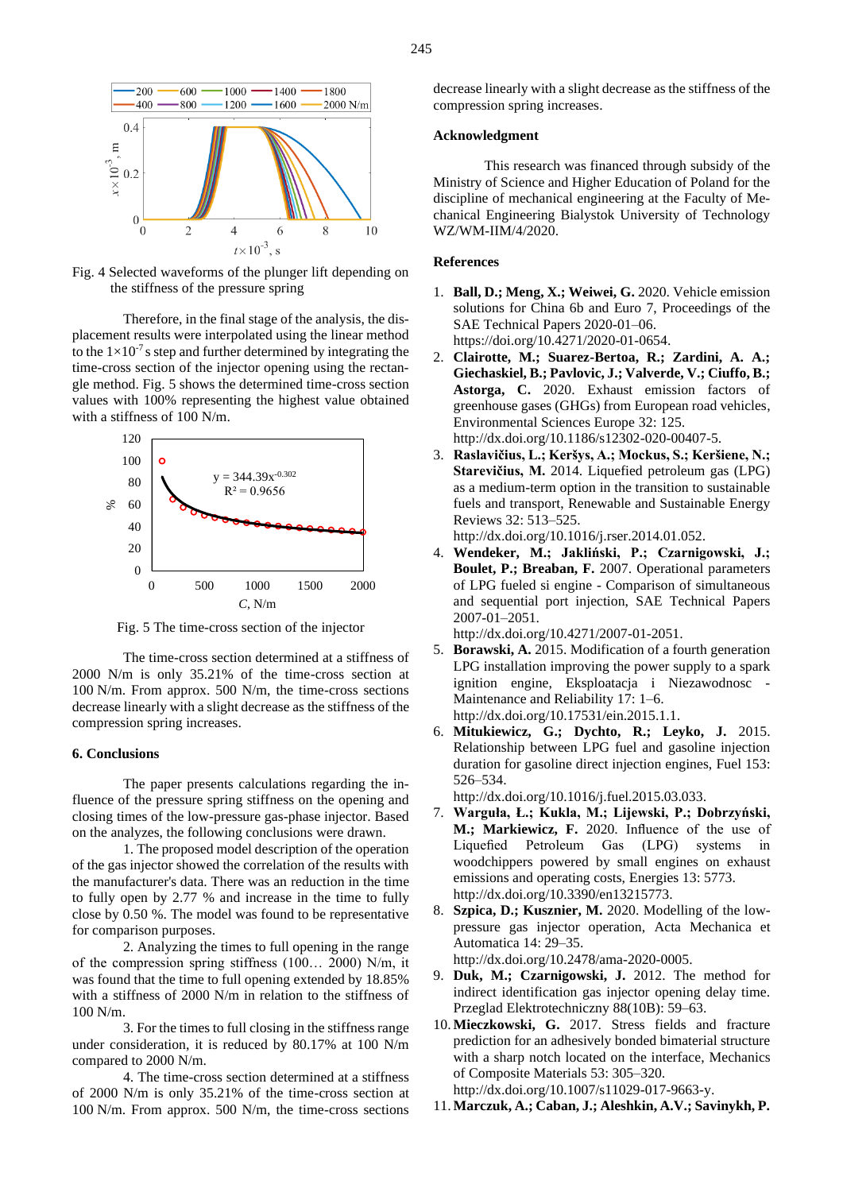

Fig. 4 Selected waveforms of the plunger lift depending on the stiffness of the pressure spring

Therefore, in the final stage of the analysis, the displacement results were interpolated using the linear method to the  $1 \times 10^{-7}$  s step and further determined by integrating the time-cross section of the injector opening using the rectangle method. Fig. 5 shows the determined time-cross section values with 100% representing the highest value obtained with a stiffness of 100 N/m.



Fig. 5 The time-cross section of the injector

The time-cross section determined at a stiffness of 2000 N/m is only 35.21% of the time-cross section at 100 N/m. From approx. 500 N/m, the time-cross sections decrease linearly with a slight decrease as the stiffness of the compression spring increases.

#### **6. Conclusions**

The paper presents calculations regarding the influence of the pressure spring stiffness on the opening and closing times of the low-pressure gas-phase injector. Based on the analyzes, the following conclusions were drawn.

1. The proposed model description of the operation of the gas injector showed the correlation of the results with the manufacturer's data. There was an reduction in the time to fully open by 2.77 % and increase in the time to fully close by 0.50 %. The model was found to be representative for comparison purposes.

2. Analyzing the times to full opening in the range of the compression spring stiffness (100… 2000) N/m, it was found that the time to full opening extended by 18.85% with a stiffness of 2000 N/m in relation to the stiffness of 100 N/m.

3. For the times to full closing in the stiffness range under consideration, it is reduced by 80.17% at 100 N/m compared to 2000 N/m.

4. The time-cross section determined at a stiffness of 2000 N/m is only 35.21% of the time-cross section at 100 N/m. From approx. 500 N/m, the time-cross sections

decrease linearly with a slight decrease as the stiffness of the compression spring increases.

## **Acknowledgment**

This research was financed through subsidy of the Ministry of Science and Higher Education of Poland for the discipline of mechanical engineering at the Faculty of Mechanical Engineering Bialystok University of Technology WZ/WM-IIM/4/2020.

## **References**

- 1. **Ball, D.; Meng, X.; Weiwei, G.** 2020. Vehicle emission solutions for China 6b and Euro 7, Proceedings of the SAE Technical Papers 2020-01–06. https://doi.org/10.4271/2020-01-0654.
- 2. **Clairotte, M.; Suarez-Bertoa, R.; Zardini, A. A.; Giechaskiel, B.; Pavlovic, J.; Valverde, V.; Ciuffo, B.; Astorga, C.** 2020. Exhaust emission factors of greenhouse gases (GHGs) from European road vehicles, Environmental Sciences Europe 32: 125. http://dx.doi.org/10.1186/s12302-020-00407-5.
- 3. **Raslavičius, L.; Keršys, A.; Mockus, S.; Keršiene, N.; Starevičius, M.** 2014. Liquefied petroleum gas (LPG) as a medium-term option in the transition to sustainable fuels and transport, Renewable and Sustainable Energy Reviews 32: 513–525.
	- http://dx.doi.org/10.1016/j.rser.2014.01.052.
- 4. **Wendeker, M.; Jakliński, P.; Czarnigowski, J.; Boulet, P.; Breaban, F.** 2007. Operational parameters of LPG fueled si engine - Comparison of simultaneous and sequential port injection, SAE Technical Papers 2007-01–2051.

http://dx.doi.org/10.4271/2007-01-2051.

- 5. **Borawski, A.** 2015. Modification of a fourth generation LPG installation improving the power supply to a spark ignition engine, Eksploatacja i Niezawodnosc - Maintenance and Reliability 17: 1–6. http://dx.doi.org/10.17531/ein.2015.1.1.
- 6. **Mitukiewicz, G.; Dychto, R.; Leyko, J.** 2015. Relationship between LPG fuel and gasoline injection duration for gasoline direct injection engines, Fuel 153: 526–534.

http://dx.doi.org/10.1016/j.fuel.2015.03.033.

- 7. **Warguła, Ł.; Kukla, M.; Lijewski, P.; Dobrzyński, M.; Markiewicz, F.** 2020. Influence of the use of Liquefied Petroleum Gas (LPG) systems in woodchippers powered by small engines on exhaust emissions and operating costs, Energies 13: 5773. http://dx.doi.org/10.3390/en13215773.
- 8. **Szpica, D.; Kusznier, M.** 2020. Modelling of the lowpressure gas injector operation, Acta Mechanica et Automatica 14: 29–35. http://dx.doi.org/10.2478/ama-2020-0005.

- 9. **Duk, M.; Czarnigowski, J.** 2012. The method for indirect identification gas injector opening delay time. Przeglad Elektrotechniczny 88(10B): 59–63.
- 10. **Mieczkowski, G.** 2017. Stress fields and fracture prediction for an adhesively bonded bimaterial structure with a sharp notch located on the interface, Mechanics of Composite Materials 53: 305–320.

http://dx.doi.org/10.1007/s11029-017-9663-y.

11. **Marczuk, A.; Caban, J.; Aleshkin, A.V.; Savinykh, P.**